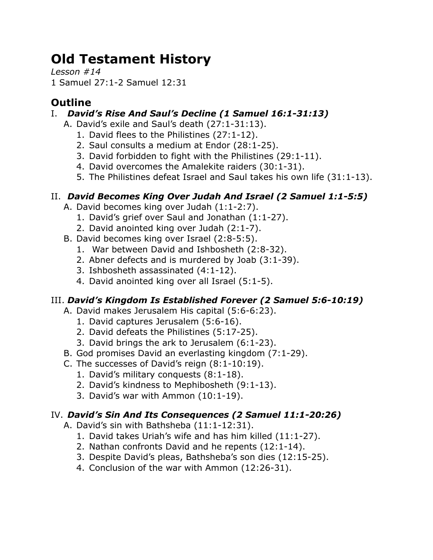# **Old Testament History**

*Lesson #14* 1 Samuel 27:1-2 Samuel 12:31

## **Outline**

## I. *David's Rise And Saul's Decline (1 Samuel 16:1-31:13)*

- A. David's exile and Saul's death (27:1-31:13).
	- 1. David flees to the Philistines (27:1-12).
	- 2. Saul consults a medium at Endor (28:1-25).
	- 3. David forbidden to fight with the Philistines (29:1-11).
	- 4. David overcomes the Amalekite raiders (30:1-31).
	- 5. The Philistines defeat Israel and Saul takes his own life (31:1-13).

## II. *David Becomes King Over Judah And Israel (2 Samuel 1:1-5:5)*

- A. David becomes king over Judah (1:1-2:7).
	- 1. David's grief over Saul and Jonathan (1:1-27).
	- 2. David anointed king over Judah (2:1-7).
- B. David becomes king over Israel (2:8-5:5).
	- 1. War between David and Ishbosheth (2:8-32).
	- 2. Abner defects and is murdered by Joab (3:1-39).
	- 3. Ishbosheth assassinated (4:1-12).
	- 4. David anointed king over all Israel (5:1-5).

## III. *David's Kingdom Is Established Forever (2 Samuel 5:6-10:19)*

- A. David makes Jerusalem His capital (5:6-6:23).
	- 1. David captures Jerusalem (5:6-16).
	- 2. David defeats the Philistines (5:17-25).
	- 3. David brings the ark to Jerusalem (6:1-23).
- B. God promises David an everlasting kingdom (7:1-29).
- C. The successes of David's reign (8:1-10:19).
	- 1. David's military conquests (8:1-18).
	- 2. David's kindness to Mephibosheth (9:1-13).
	- 3. David's war with Ammon (10:1-19).

## IV. *David's Sin And Its Consequences (2 Samuel 11:1-20:26)*

- A. David's sin with Bathsheba (11:1-12:31).
	- 1. David takes Uriah's wife and has him killed (11:1-27).
	- 2. Nathan confronts David and he repents (12:1-14).
	- 3. Despite David's pleas, Bathsheba's son dies (12:15-25).
	- 4. Conclusion of the war with Ammon (12:26-31).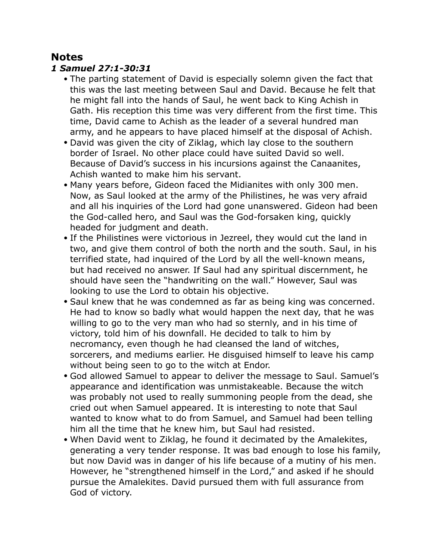## **Notes**

#### *1 Samuel 27:1-30:31*

- The parting statement of David is especially solemn given the fact that this was the last meeting between Saul and David. Because he felt that he might fall into the hands of Saul, he went back to King Achish in Gath. His reception this time was very different from the first time. This time, David came to Achish as the leader of a several hundred man army, and he appears to have placed himself at the disposal of Achish.
- David was given the city of Ziklag, which lay close to the southern border of Israel. No other place could have suited David so well. Because of David's success in his incursions against the Canaanites, Achish wanted to make him his servant.
- Many years before, Gideon faced the Midianites with only 300 men. Now, as Saul looked at the army of the Philistines, he was very afraid and all his inquiries of the Lord had gone unanswered. Gideon had been the God-called hero, and Saul was the God-forsaken king, quickly headed for judgment and death.
- If the Philistines were victorious in Jezreel, they would cut the land in two, and give them control of both the north and the south. Saul, in his terrified state, had inquired of the Lord by all the well-known means, but had received no answer. If Saul had any spiritual discernment, he should have seen the "handwriting on the wall." However, Saul was looking to use the Lord to obtain his objective.
- Saul knew that he was condemned as far as being king was concerned. He had to know so badly what would happen the next day, that he was willing to go to the very man who had so sternly, and in his time of victory, told him of his downfall. He decided to talk to him by necromancy, even though he had cleansed the land of witches, sorcerers, and mediums earlier. He disguised himself to leave his camp without being seen to go to the witch at Endor.
- God allowed Samuel to appear to deliver the message to Saul. Samuel's appearance and identification was unmistakeable. Because the witch was probably not used to really summoning people from the dead, she cried out when Samuel appeared. It is interesting to note that Saul wanted to know what to do from Samuel, and Samuel had been telling him all the time that he knew him, but Saul had resisted.
- When David went to Ziklag, he found it decimated by the Amalekites, generating a very tender response. It was bad enough to lose his family, but now David was in danger of his life because of a mutiny of his men. However, he "strengthened himself in the Lord," and asked if he should pursue the Amalekites. David pursued them with full assurance from God of victory.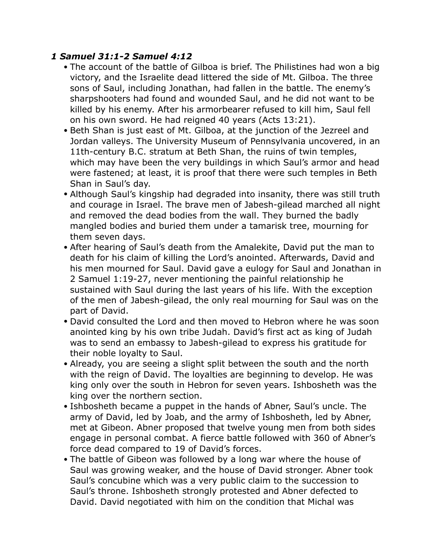#### *1 Samuel 31:1-2 Samuel 4:12*

- The account of the battle of Gilboa is brief. The Philistines had won a big victory, and the Israelite dead littered the side of Mt. Gilboa. The three sons of Saul, including Jonathan, had fallen in the battle. The enemy's sharpshooters had found and wounded Saul, and he did not want to be killed by his enemy. After his armorbearer refused to kill him, Saul fell on his own sword. He had reigned 40 years (Acts 13:21).
- Beth Shan is just east of Mt. Gilboa, at the junction of the Jezreel and Jordan valleys. The University Museum of Pennsylvania uncovered, in an 11th-century B.C. stratum at Beth Shan, the ruins of twin temples, which may have been the very buildings in which Saul's armor and head were fastened; at least, it is proof that there were such temples in Beth Shan in Saul's day.
- Although Saul's kingship had degraded into insanity, there was still truth and courage in Israel. The brave men of Jabesh-gilead marched all night and removed the dead bodies from the wall. They burned the badly mangled bodies and buried them under a tamarisk tree, mourning for them seven days.
- After hearing of Saul's death from the Amalekite, David put the man to death for his claim of killing the Lord's anointed. Afterwards, David and his men mourned for Saul. David gave a eulogy for Saul and Jonathan in 2 Samuel 1:19-27, never mentioning the painful relationship he sustained with Saul during the last years of his life. With the exception of the men of Jabesh-gilead, the only real mourning for Saul was on the part of David.
- David consulted the Lord and then moved to Hebron where he was soon anointed king by his own tribe Judah. David's first act as king of Judah was to send an embassy to Jabesh-gilead to express his gratitude for their noble loyalty to Saul.
- Already, you are seeing a slight split between the south and the north with the reign of David. The loyalties are beginning to develop. He was king only over the south in Hebron for seven years. Ishbosheth was the king over the northern section.
- Ishbosheth became a puppet in the hands of Abner, Saul's uncle. The army of David, led by Joab, and the army of Ishbosheth, led by Abner, met at Gibeon. Abner proposed that twelve young men from both sides engage in personal combat. A fierce battle followed with 360 of Abner's force dead compared to 19 of David's forces.
- The battle of Gibeon was followed by a long war where the house of Saul was growing weaker, and the house of David stronger. Abner took Saul's concubine which was a very public claim to the succession to Saul's throne. Ishbosheth strongly protested and Abner defected to David. David negotiated with him on the condition that Michal was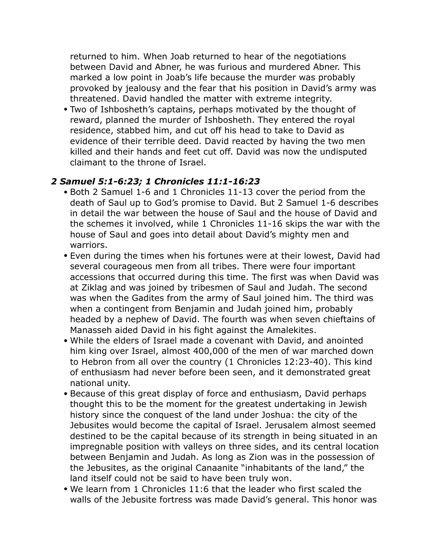returned to him. When Joab returned to hear of the negotiations between David and Abner, he was furious and murdered Abner. This marked a low point in Joab's life because the murder was probably provoked by jealousy and the fear that his position in David's army was threatened. David handled the matter with extreme integrity.

• Two of Ishbosheth's captains, perhaps motivated by the thought of reward, planned the murder of Ishbosheth. They entered the royal residence, stabbed him, and cut off his head to take to David as evidence of their terrible deed. David reacted by having the two men killed and their hands and feet cut off. David was now the undisputed claimant to the throne of Israel.

#### *2 Samuel 5:1-6:23; 1 Chronicles 11:1-16:23*

- Both 2 Samuel 1-6 and 1 Chronicles 11-13 cover the period from the death of Saul up to God's promise to David. But 2 Samuel 1-6 describes in detail the war between the house of Saul and the house of David and the schemes it involved, while 1 Chronicles 11-16 skips the war with the house of Saul and goes into detail about David's mighty men and warriors.
- Even during the times when his fortunes were at their lowest, David had several courageous men from all tribes. There were four important accessions that occurred during this time. The first was when David was at Ziklag and was joined by tribesmen of Saul and Judah. The second was when the Gadites from the army of Saul joined him. The third was when a contingent from Benjamin and Judah joined him, probably headed by a nephew of David. The fourth was when seven chieftains of Manasseh aided David in his fight against the Amalekites.
- While the elders of Israel made a covenant with David, and anointed him king over Israel, almost 400,000 of the men of war marched down to Hebron from all over the country (1 Chronicles 12:23-40). This kind of enthusiasm had never before been seen, and it demonstrated great national unity.
- Because of this great display of force and enthusiasm, David perhaps thought this to be the moment for the greatest undertaking in Jewish history since the conquest of the land under Joshua: the city of the Jebusites would become the capital of Israel. Jerusalem almost seemed destined to be the capital because of its strength in being situated in an impregnable position with valleys on three sides, and its central location between Benjamin and Judah. As long as Zion was in the possession of the Jebusites, as the original Canaanite "inhabitants of the land," the land itself could not be said to have been truly won.
- We learn from 1 Chronicles 11:6 that the leader who first scaled the walls of the Jebusite fortress was made David's general. This honor was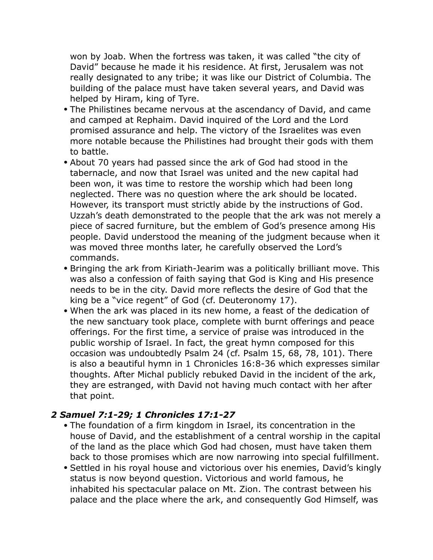won by Joab. When the fortress was taken, it was called "the city of David" because he made it his residence. At first, Jerusalem was not really designated to any tribe; it was like our District of Columbia. The building of the palace must have taken several years, and David was helped by Hiram, king of Tyre.

- The Philistines became nervous at the ascendancy of David, and came and camped at Rephaim. David inquired of the Lord and the Lord promised assurance and help. The victory of the Israelites was even more notable because the Philistines had brought their gods with them to battle.
- About 70 years had passed since the ark of God had stood in the tabernacle, and now that Israel was united and the new capital had been won, it was time to restore the worship which had been long neglected. There was no question where the ark should be located. However, its transport must strictly abide by the instructions of God. Uzzah's death demonstrated to the people that the ark was not merely a piece of sacred furniture, but the emblem of God's presence among His people. David understood the meaning of the judgment because when it was moved three months later, he carefully observed the Lord's commands.
- Bringing the ark from Kiriath-Jearim was a politically brilliant move. This was also a confession of faith saying that God is King and His presence needs to be in the city. David more reflects the desire of God that the king be a "vice regent" of God (cf. Deuteronomy 17).
- When the ark was placed in its new home, a feast of the dedication of the new sanctuary took place, complete with burnt offerings and peace offerings. For the first time, a service of praise was introduced in the public worship of Israel. In fact, the great hymn composed for this occasion was undoubtedly Psalm 24 (cf. Psalm 15, 68, 78, 101). There is also a beautiful hymn in 1 Chronicles 16:8-36 which expresses similar thoughts. After Michal publicly rebuked David in the incident of the ark, they are estranged, with David not having much contact with her after that point.

#### *2 Samuel 7:1-29; 1 Chronicles 17:1-27*

- The foundation of a firm kingdom in Israel, its concentration in the house of David, and the establishment of a central worship in the capital of the land as the place which God had chosen, must have taken them back to those promises which are now narrowing into special fulfillment.
- Settled in his royal house and victorious over his enemies, David's kingly status is now beyond question. Victorious and world famous, he inhabited his spectacular palace on Mt. Zion. The contrast between his palace and the place where the ark, and consequently God Himself, was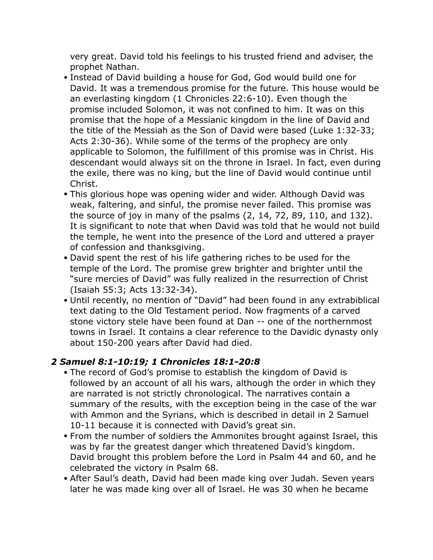very great. David told his feelings to his trusted friend and adviser, the prophet Nathan.

- Instead of David building a house for God, God would build one for David. It was a tremendous promise for the future. This house would be an everlasting kingdom (1 Chronicles 22:6-10). Even though the promise included Solomon, it was not confined to him. It was on this promise that the hope of a Messianic kingdom in the line of David and the title of the Messiah as the Son of David were based (Luke 1:32-33; Acts 2:30-36). While some of the terms of the prophecy are only applicable to Solomon, the fulfillment of this promise was in Christ. His descendant would always sit on the throne in Israel. In fact, even during the exile, there was no king, but the line of David would continue until Christ.
- This glorious hope was opening wider and wider. Although David was weak, faltering, and sinful, the promise never failed. This promise was the source of joy in many of the psalms (2, 14, 72, 89, 110, and 132). It is significant to note that when David was told that he would not build the temple, he went into the presence of the Lord and uttered a prayer of confession and thanksgiving.
- David spent the rest of his life gathering riches to be used for the temple of the Lord. The promise grew brighter and brighter until the "sure mercies of David" was fully realized in the resurrection of Christ (Isaiah 55:3; Acts 13:32-34).
- Until recently, no mention of "David" had been found in any extrabiblical text dating to the Old Testament period. Now fragments of a carved stone victory stele have been found at Dan -- one of the northernmost towns in Israel. It contains a clear reference to the Davidic dynasty only about 150-200 years after David had died.

## *2 Samuel 8:1-10:19; 1 Chronicles 18:1-20:8*

- The record of God's promise to establish the kingdom of David is followed by an account of all his wars, although the order in which they are narrated is not strictly chronological. The narratives contain a summary of the results, with the exception being in the case of the war with Ammon and the Syrians, which is described in detail in 2 Samuel 10-11 because it is connected with David's great sin.
- From the number of soldiers the Ammonites brought against Israel, this was by far the greatest danger which threatened David's kingdom. David brought this problem before the Lord in Psalm 44 and 60, and he celebrated the victory in Psalm 68.
- After Saul's death, David had been made king over Judah. Seven years later he was made king over all of Israel. He was 30 when he became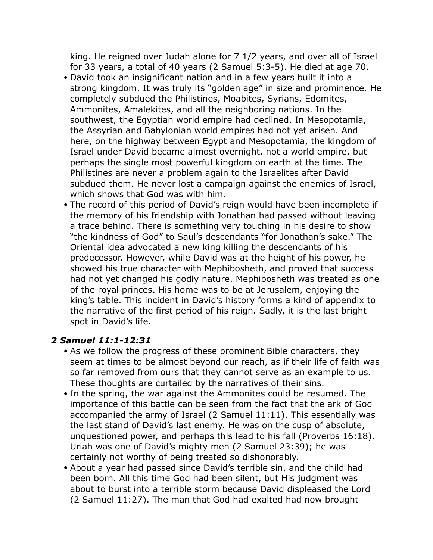king. He reigned over Judah alone for 7 1/2 years, and over all of Israel for 33 years, a total of 40 years (2 Samuel 5:3-5). He died at age 70.

- David took an insignificant nation and in a few years built it into a strong kingdom. It was truly its "golden age" in size and prominence. He completely subdued the Philistines, Moabites, Syrians, Edomites, Ammonites, Amalekites, and all the neighboring nations. In the southwest, the Egyptian world empire had declined. In Mesopotamia, the Assyrian and Babylonian world empires had not yet arisen. And here, on the highway between Egypt and Mesopotamia, the kingdom of Israel under David became almost overnight, not a world empire, but perhaps the single most powerful kingdom on earth at the time. The Philistines are never a problem again to the Israelites after David subdued them. He never lost a campaign against the enemies of Israel, which shows that God was with him.
- The record of this period of David's reign would have been incomplete if the memory of his friendship with Jonathan had passed without leaving a trace behind. There is something very touching in his desire to show "the kindness of God" to Saul's descendants "for Jonathan's sake." The Oriental idea advocated a new king killing the descendants of his predecessor. However, while David was at the height of his power, he showed his true character with Mephibosheth, and proved that success had not yet changed his godly nature. Mephibosheth was treated as one of the royal princes. His home was to be at Jerusalem, enjoying the king's table. This incident in David's history forms a kind of appendix to the narrative of the first period of his reign. Sadly, it is the last bright spot in David's life.

#### *2 Samuel 11:1-12:31*

- As we follow the progress of these prominent Bible characters, they seem at times to be almost beyond our reach, as if their life of faith was so far removed from ours that they cannot serve as an example to us. These thoughts are curtailed by the narratives of their sins.
- In the spring, the war against the Ammonites could be resumed. The importance of this battle can be seen from the fact that the ark of God accompanied the army of Israel (2 Samuel 11:11). This essentially was the last stand of David's last enemy. He was on the cusp of absolute, unquestioned power, and perhaps this lead to his fall (Proverbs 16:18). Uriah was one of David's mighty men (2 Samuel 23:39); he was certainly not worthy of being treated so dishonorably.
- About a year had passed since David's terrible sin, and the child had been born. All this time God had been silent, but His judgment was about to burst into a terrible storm because David displeased the Lord (2 Samuel 11:27). The man that God had exalted had now brought